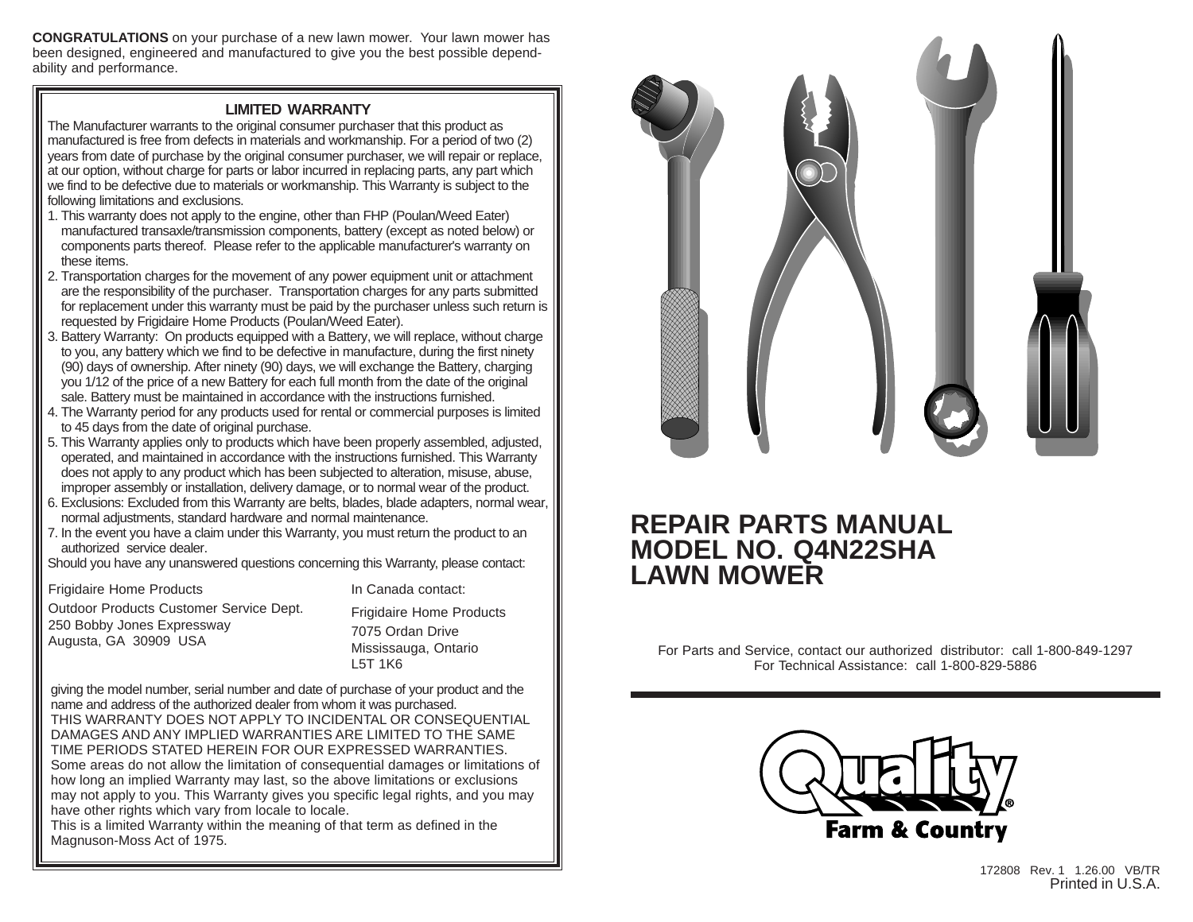**CONGRATULATIONS** on your purchase of a new lawn mower. Your lawn mower has been designed, engineered and manufactured to give you the best possible dependability and performance.

### **LIMITED WARRANTY**

The Manufacturer warrants to the original consumer purchaser that this product as manufactured is free from defects in materials and workmanship. For a period of two (2) years from date of purchase by the original consumer purchaser, we will repair or replace, at our option, without charge for parts or labor incurred in replacing parts, any part which we find to be defective due to materials or workmanship. This Warranty is subject to the following limitations and exclusions.

- 1. This warranty does not apply to the engine, other than FHP (Poulan/Weed Eater) manufactured transaxle/transmission components, battery (except as noted below) or components parts thereof. Please refer to the applicable manufacturer's warranty on these items.
- 2. Transportation charges for the movement of any power equipment unit or attachment are the responsibility of the purchaser. Transportation charges for any parts submitted for replacement under this warranty must be paid by the purchaser unless such return is requested by Frigidaire Home Products (Poulan/Weed Eater).
- 3. Battery Warranty: On products equipped with a Battery, we will replace, without charge to you, any battery which we find to be defective in manufacture, during the first ninety (90) days of ownership. After ninety (90) days, we will exchange the Battery, charging you 1/12 of the price of a new Battery for each full month from the date of the original sale. Battery must be maintained in accordance with the instructions furnished.
- 4. The Warranty period for any products used for rental or commercial purposes is limited to 45 days from the date of original purchase.
- 5. This Warranty applies only to products which have been properly assembled, adjusted, operated, and maintained in accordance with the instructions furnished. This Warranty does not apply to any product which has been subjected to alteration, misuse, abuse, improper assembly or installation, delivery damage, or to normal wear of the product.
- 6. Exclusions: Excluded from this Warranty are belts, blades, blade adapters, normal wear, normal adjustments, standard hardware and normal maintenance.
- 7. In the event you have a claim under this Warranty, you must return the product to an authorized service dealer.

Should you have any unanswered questions concerning this Warranty, please contact:

Frigidaire Home Products Outdoor Products Customer Service Dept. 250 Bobby Jones Expressway Augusta, GA 30909 USA

In Canada contact: Frigidaire Home Products

7075 Ordan Drive Mississauga, Ontario L5T 1K6

giving the model number, serial number and date of purchase of your product and the name and address of the authorized dealer from whom it was purchased. THIS WARRANTY DOES NOT APPLY TO INCIDENTAL OR CONSEQUENTIAL DAMAGES AND ANY IMPLIED WARRANTIES ARE LIMITED TO THE SAME TIME PERIODS STATED HEREIN FOR OUR EXPRESSED WARRANTIES. Some areas do not allow the limitation of consequential damages or limitations of how long an implied Warranty may last, so the above limitations or exclusions may not apply to you. This Warranty gives you specific legal rights, and you may have other rights which vary from locale to locale.

This is a limited Warranty within the meaning of that term as defined in the Magnuson-Moss Act of 1975.



# **REPAIR PARTS MANUAL MODEL NO. Q4N22SHA LAWN MOWER**

For Parts and Service, contact our authorized distributor: call 1-800-849-1297 For Technical Assistance: call 1-800-829-5886